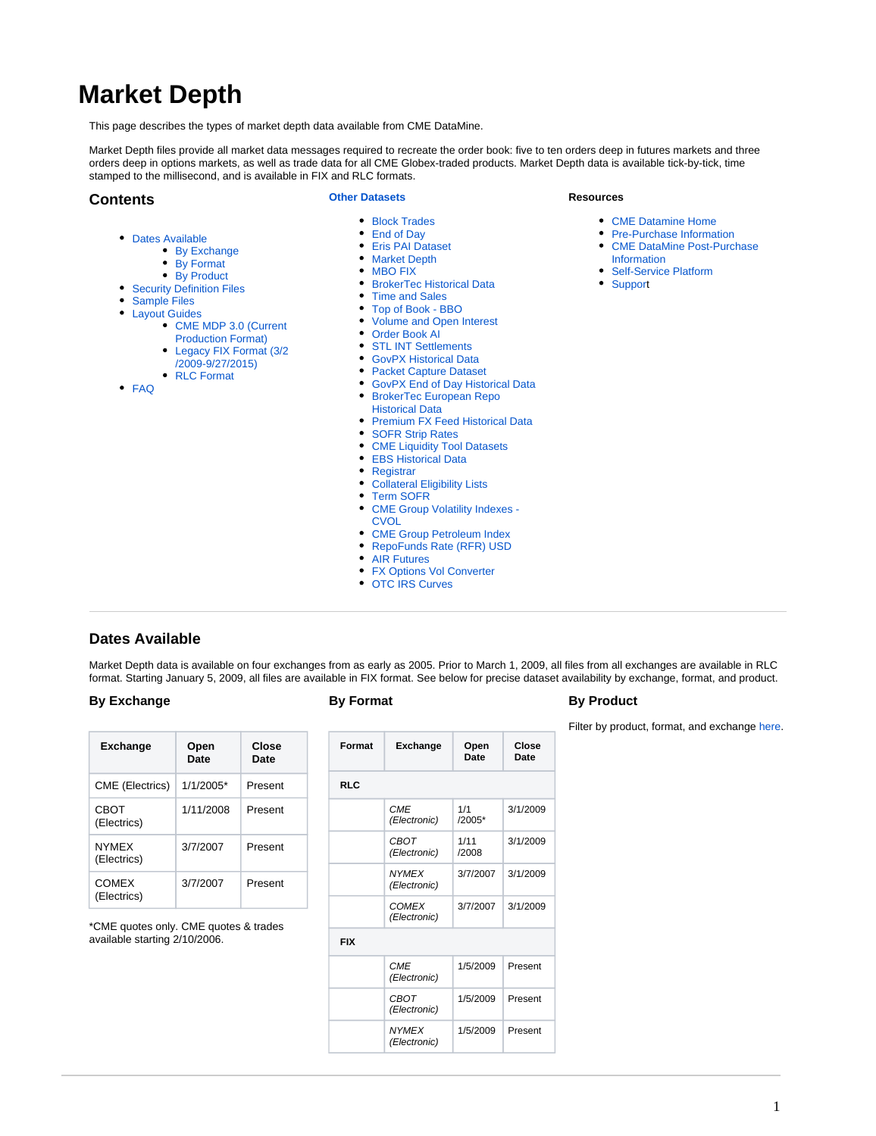# <span id="page-0-2"></span>**Market Depth**

This page describes the types of market depth data available from CME DataMine.

Market Depth files provide all market data messages required to recreate the order book: five to ten orders deep in futures markets and three orders deep in options markets, as well as trade data for all CME Globex-traded products. Market Depth data is available tick-by-tick, time stamped to the millisecond, and is available in FIX and RLC formats.

# <span id="page-0-3"></span>**Contents**

#### **[Other Datasets](https://www.cmegroup.com/confluence/display/EPICSANDBOX/CME+DataMine+Datasets)**

 $\bullet$ 

- [Dates Available](#page-0-0)
	- [By Exchange](#page-0-1)
	- [By Format](#page-0-1)
	- [By Product](#page-0-1)
- [Security Definition Files](#page-1-0)
- 
- [Sample Files](#page-2-0)
- [Layout Guides](#page-3-0)
	- [CME MDP 3.0 \(Current](#page-3-1)
	- [Production Format\)](#page-3-1) [Legacy FIX Format \(3/2](#page-3-1)
	- [/2009-9/27/2015\)](#page-3-1)
	- [RLC Format](#page-3-1)

[FAQ](#page-3-2)

- 
- [Block Trades](https://www.cmegroup.com/confluence/display/EPICSANDBOX/Block+Trades) [End of Day](https://www.cmegroup.com/confluence/display/EPICSANDBOX/End+of+Day)
- [Eris PAI Dataset](https://www.cmegroup.com/confluence/display/EPICSANDBOX/Eris+PAI+Dataset)  $\bullet$
- [Market Depth](#page-0-2)
- 
- MRO FIX
- **[BrokerTec Historical Data](https://www.cmegroup.com/confluence/display/EPICSANDBOX/BrokerTec+Historical+Data)**
- $\bullet$ [Time and Sales](https://www.cmegroup.com/confluence/display/EPICSANDBOX/Time+and+Sales)
- $\bullet$ [Top of Book - BBO](https://www.cmegroup.com/confluence/display/EPICSANDBOX/Top+of+Book+-+BBO)
- $\bullet$ [Volume and Open Interest](https://www.cmegroup.com/confluence/display/EPICSANDBOX/Volume+and+Open+Interest)
- [Order Book AI](https://www.cmegroup.com/confluence/display/EPICSANDBOX/Order+Book+AI)
- [STL INT Settlements](https://www.cmegroup.com/confluence/display/EPICSANDBOX/STL+INT+Settlements)
- [GovPX Historical Data](https://www.cmegroup.com/confluence/display/EPICSANDBOX/GovPX+Historical+Data)
- **[Packet Capture Dataset](https://www.cmegroup.com/confluence/display/EPICSANDBOX/Packet+Capture+Dataset)**
- [GovPX End of Day Historical Data](https://www.cmegroup.com/confluence/display/EPICSANDBOX/GovPX+End+of+Day+Historical+Data)
- [BrokerTec European Repo](https://www.cmegroup.com/confluence/display/EPICSANDBOX/BrokerTec+European+Repo+Historical+Data)
- [Historical Data](https://www.cmegroup.com/confluence/display/EPICSANDBOX/BrokerTec+European+Repo+Historical+Data)
- [Premium FX Feed Historical Data](https://www.cmegroup.com/confluence/display/EPICSANDBOX/Premium+FX+Feed+Historical+Data)
- $\bullet$ [SOFR Strip Rates](https://www.cmegroup.com/confluence/display/EPICSANDBOX/SOFR+Strip+Rates)
- [CME Liquidity Tool Datasets](https://www.cmegroup.com/confluence/display/EPICSANDBOX/CME+Liquidity+Tool+Datasets)  $\bullet$
- [EBS Historical Data](https://www.cmegroup.com/confluence/display/EPICSANDBOX/EBS+Historical+Data)  $\bullet$
- **[Registrar](https://www.cmegroup.com/confluence/display/EPICSANDBOX/Registrar)**
- [Collateral Eligibility Lists](https://www.cmegroup.com/confluence/display/EPICSANDBOX/Collateral+Eligibility+Lists)
- $\bullet$ [Term SOFR](https://www.cmegroup.com/confluence/display/EPICSANDBOX/Term+SOFR)
- [CME Group Volatility Indexes](https://www.cmegroup.com/confluence/display/EPICSANDBOX/CME+Group+Volatility+Indexes+-+CVOL)
- [CVOL](https://www.cmegroup.com/confluence/display/EPICSANDBOX/CME+Group+Volatility+Indexes+-+CVOL)
- [CME Group Petroleum Index](https://www.cmegroup.com/confluence/display/EPICSANDBOX/CME+Group+Petroleum+Index)  $\bullet$
- [RepoFunds Rate \(RFR\) USD](https://www.cmegroup.com/confluence/display/EPICSANDBOX/RepoFunds+Rate+%28RFR%29+USD)
- [AIR Futures](https://www.cmegroup.com/confluence/display/EPICSANDBOX/AIR+Futures)
- [FX Options Vol Converter](https://www.cmegroup.com/confluence/display/EPICSANDBOX/FX+Options+Vol+Converter)
- [OTC IRS Curves](https://www.cmegroup.com/confluence/display/EPICSANDBOX/OTC+IRS+Curves)

# <span id="page-0-0"></span>**Dates Available**

Market Depth data is available on four exchanges from as early as 2005. Prior to March 1, 2009, all files from all exchanges are available in RLC format. Starting January 5, 2009, all files are available in FIX format. See below for precise dataset availability by exchange, format, and product.

### <span id="page-0-1"></span>**By Exchange**

| <b>Exchange</b>             | Open<br>Date | Close<br>Date |  |  |
|-----------------------------|--------------|---------------|--|--|
| CME (Electrics)             | $1/1/2005*$  | Present       |  |  |
| CBOT<br>(Electrics)         | 1/11/2008    | Present       |  |  |
| <b>NYMFX</b><br>(Electrics) | 3/7/2007     | Present       |  |  |
| COMEX<br>(Electrics)        | 3/7/2007     | Present       |  |  |

\*CME quotes only. CME quotes & trades available starting 2/10/2006.

| Format     | <b>Exchange</b>              | Open<br>Date  | Close<br>Date |  |
|------------|------------------------------|---------------|---------------|--|
| <b>RLC</b> |                              |               |               |  |
|            | <b>CME</b><br>(Electronic)   | 1/1<br>/2005* | 3/1/2009      |  |
|            | <b>CBOT</b><br>(Electronic)  | 1/11<br>/2008 | 3/1/2009      |  |
|            | <b>NYMEX</b><br>(Electronic) | 3/7/2007      | 3/1/2009      |  |
|            | <b>COMEX</b><br>(Electronic) | 3/7/2007      | 3/1/2009      |  |
| <b>FIX</b> |                              |               |               |  |
|            | <b>CME</b><br>(Electronic)   | 1/5/2009      | Present       |  |
|            | CBOT<br>(Electronic)         | 1/5/2009      | Present       |  |
|            | <b>NYMEX</b><br>(Electronic) | 1/5/2009      | Present       |  |
|            |                              |               |               |  |

# **By Product**

Filter by product, format, and exchange [here](file:///C:/Users/e24390/Desktop/Wiki/MD/DataMine%20MD%20-%20Dates%20Available%20-%20By%20Product.xlsx).

**Resources**

- [CME Datamine Home](https://www.cmegroup.com/confluence/display/EPICSANDBOX/CME+DataMine)
- [Pre-Purchase Information](https://wiki.chicago.cme.com/confluence/display/CLIMP/Pre-Purchase+Information) [CME DataMine Post-Purchase](https://www.cmegroup.com/confluence/display/EPICSANDBOX/CME+DataMine+Post-Purchase+Information)
- [Information](https://www.cmegroup.com/confluence/display/EPICSANDBOX/CME+DataMine+Post-Purchase+Information) • [Self-Service Platform](https://wiki.chicago.cme.com/confluence/display/CLIMP/Self-Service+Platform)
- [Support](https://www.cmegroup.com/confluence/display/EPICSANDBOX/CME+DataMine+Support)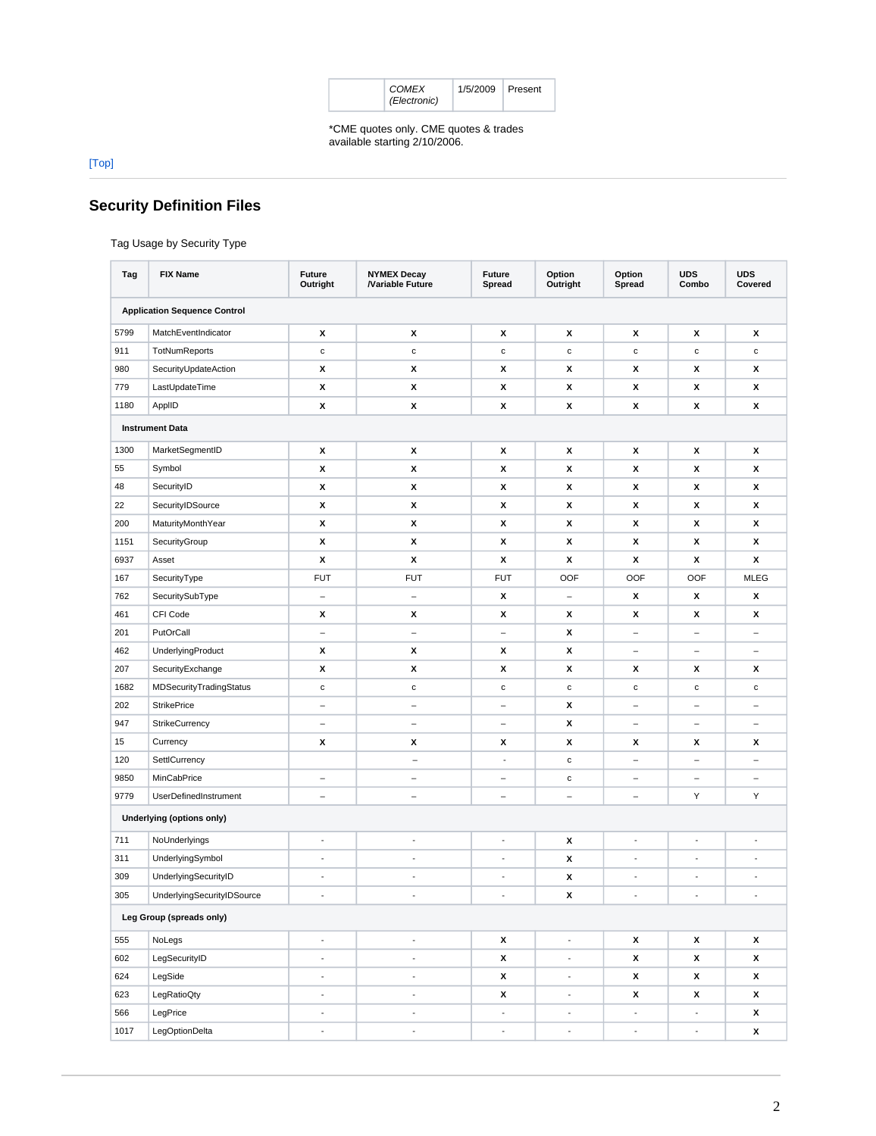| COMEX<br>(Electronic) | 1/5/2009 Present |  |  |
|-----------------------|------------------|--|--|
|-----------------------|------------------|--|--|

\*CME quotes only. CME quotes & trades<br>available starting 2/10/2006.

 $[{\sf Top}]$ 

# <span id="page-1-0"></span>**Security Definition Files**

Tag Usage by Security Type

| Tag                      | <b>FIX Name</b>                     | <b>Future</b><br>Outright | <b>NYMEX Decay</b><br>/Variable Future | <b>Future</b><br>Spread  | Option<br>Outright       | Option<br>Spread         | <b>UDS</b><br>Combo      | <b>UDS</b><br>Covered    |
|--------------------------|-------------------------------------|---------------------------|----------------------------------------|--------------------------|--------------------------|--------------------------|--------------------------|--------------------------|
|                          | <b>Application Sequence Control</b> |                           |                                        |                          |                          |                          |                          |                          |
| 5799                     | MatchEventIndicator                 | х                         | х                                      | X                        | х                        | x                        | X                        | x                        |
| 911                      | TotNumReports                       | $\mathbf c$               | $\mathbf c$                            | $\mathbf c$              | c                        | c                        | $\mathbf c$              | $\mathbf c$              |
| 980                      | SecurityUpdateAction                | х                         | х                                      | x                        | х                        | x                        | х                        | x                        |
| 779                      | LastUpdateTime                      | x                         | X                                      | x                        | X                        | x                        | x                        | x                        |
| 1180                     | ApplID                              | х                         | X                                      | X                        | x                        | x                        | x                        | x                        |
|                          | <b>Instrument Data</b>              |                           |                                        |                          |                          |                          |                          |                          |
| 1300                     | MarketSegmentID                     | х                         | х                                      | x                        | х                        | x                        | х                        | х                        |
| 55                       | Symbol                              | x                         | X                                      | x                        | X                        | x                        | x                        | X                        |
| 48                       | SecurityID                          | х                         | X                                      | x                        | x                        | x                        | x                        | x                        |
| 22                       | SecurityIDSource                    | х                         | X                                      | х                        | x                        | x                        | х                        | x                        |
| 200                      | MaturityMonthYear                   | X                         | X                                      | x                        | x                        | x                        | X                        | x                        |
| 1151                     | SecurityGroup                       | x                         | X                                      | x                        | х                        | x                        | х                        | x                        |
| 6937                     | Asset                               | X                         | x                                      | x                        | x                        | x                        | x                        | x                        |
| 167                      | SecurityType                        | <b>FUT</b>                | <b>FUT</b>                             | <b>FUT</b>               | OOF                      | <b>OOF</b>               | OOF                      | <b>MLEG</b>              |
| 762                      | SecuritySubType                     | $\overline{\phantom{a}}$  | $\overline{\phantom{0}}$               | x                        | $\qquad \qquad -$        | x                        | X                        | x                        |
| 461                      | CFI Code                            | x                         | x                                      | x                        | x                        | x                        | x                        | x                        |
| 201                      | PutOrCall                           | $\qquad \qquad -$         | $\qquad \qquad -$                      | $\qquad \qquad -$        | x                        | -                        | $\qquad \qquad -$        | $\overline{\phantom{a}}$ |
| 462                      | UnderlyingProduct                   | x                         | X                                      | x                        | x                        | $\overline{\phantom{m}}$ | $\overline{\phantom{m}}$ | $\overline{\phantom{m}}$ |
| 207                      | SecurityExchange                    | x                         | X                                      | x                        | x                        | x                        | х                        | x                        |
| 1682                     | MDSecurityTradingStatus             | $\mathbf c$               | $\mathbf c$                            | $\mathbf c$              | $\mathbf c$              | $\mathbf c$              | $\mathtt{C}$             | $\mathbf c$              |
| 202                      | <b>StrikePrice</b>                  | $\overline{\phantom{a}}$  | $\overline{\phantom{0}}$               | $\equiv$                 | x                        | $\overline{\phantom{0}}$ | $\overline{\phantom{a}}$ | $\overline{\phantom{m}}$ |
| 947                      | StrikeCurrency                      | $\qquad \qquad -$         | $\overline{\phantom{0}}$               | $\qquad \qquad -$        | x                        | $\overline{\phantom{0}}$ | $\qquad \qquad -$        |                          |
| 15                       | Currency                            | х                         | X                                      | х                        | x                        | x                        | х                        | x                        |
| 120                      | SettlCurrency                       |                           | $\qquad \qquad -$                      | ÷,                       | c                        | $\overline{\phantom{0}}$ | $\overline{\phantom{0}}$ | $\equiv$                 |
| 9850                     | MinCabPrice                         | $\overline{\phantom{0}}$  | $\overline{\phantom{0}}$               | $\overline{\phantom{0}}$ | $\mathbf c$              |                          | $\overline{\phantom{0}}$ |                          |
| 9779                     | UserDefinedInstrument               | $\overline{\phantom{0}}$  | $\overline{\phantom{0}}$               | $\qquad \qquad -$        | $\overline{\phantom{0}}$ | $\overline{\phantom{a}}$ | Υ                        | Υ                        |
|                          | Underlying (options only)           |                           |                                        |                          |                          |                          |                          |                          |
| 711                      | NoUnderlyings                       | $\overline{\phantom{a}}$  | $\overline{\phantom{a}}$               | $\overline{\phantom{a}}$ | x                        | $\blacksquare$           | $\overline{\phantom{a}}$ | $\overline{\phantom{a}}$ |
| 311                      | UnderlyingSymbol                    | $\blacksquare$            | $\overline{\phantom{a}}$               | ÷,                       | x                        | $\blacksquare$           | ÷,                       | $\overline{\phantom{a}}$ |
| 309                      | UnderlyingSecurityID                | $\blacksquare$            | $\overline{\phantom{a}}$               | $\overline{\phantom{a}}$ | x                        | $\blacksquare$           | ÷                        | $\overline{\phantom{a}}$ |
| 305                      | UnderlyingSecurityIDSource          | ÷,                        | $\blacksquare$                         | ÷,                       | X                        | ÷,                       | ÷,                       | $\overline{a}$           |
| Leg Group (spreads only) |                                     |                           |                                        |                          |                          |                          |                          |                          |
| 555                      | NoLegs                              | $\overline{\phantom{a}}$  | $\overline{\phantom{a}}$               | X                        | $\overline{\phantom{a}}$ | x                        | x                        | x                        |
| 602                      | LegSecurityID                       | $\blacksquare$            | $\blacksquare$                         | X                        | $\blacksquare$           | x                        | $\pmb{\mathsf{x}}$       | X                        |
| 624                      | LegSide                             | $\overline{\phantom{a}}$  | $\overline{\phantom{a}}$               | $\pmb{\mathsf{x}}$       | $\overline{\phantom{a}}$ | x                        | X                        | x                        |
| 623                      | LegRatioQty                         | $\blacksquare$            | $\overline{\phantom{a}}$               | $\pmb{\mathsf{x}}$       | $\overline{\phantom{a}}$ | x                        | X                        | x                        |
| 566                      | LegPrice                            | $\overline{\phantom{a}}$  | $\overline{\phantom{a}}$               | $\overline{\phantom{a}}$ | $\overline{\phantom{a}}$ | ÷,                       | $\overline{\phantom{a}}$ | x                        |
| 1017                     | LegOptionDelta                      | $\overline{\phantom{a}}$  | $\overline{\phantom{a}}$               | $\overline{\phantom{a}}$ | $\Box$                   | $\blacksquare$           | $\overline{\phantom{a}}$ | X                        |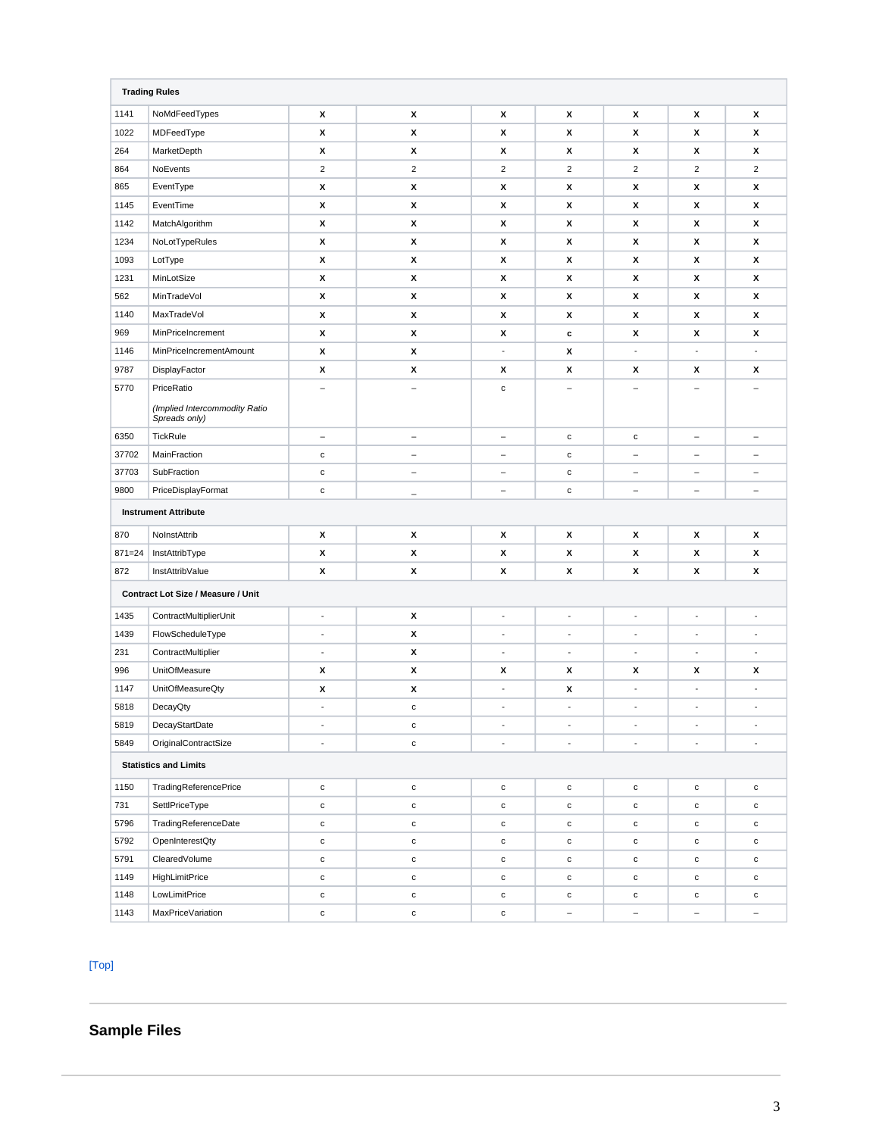| <b>Trading Rules</b>         |                                                |                          |                          |                          |                          |                          |                          |                          |
|------------------------------|------------------------------------------------|--------------------------|--------------------------|--------------------------|--------------------------|--------------------------|--------------------------|--------------------------|
| 1141                         | NoMdFeedTypes                                  | x                        | х                        | х                        | х                        | x                        | x                        | x                        |
| 1022                         | MDFeedType                                     | x                        | X                        | X                        | x                        | x                        | x                        | x                        |
| 264                          | MarketDepth                                    | x                        | X                        | х                        | x                        | x                        | x                        | x                        |
| 864                          | NoEvents                                       | $\overline{2}$           | $\overline{2}$           | $\overline{2}$           | $\overline{c}$           | $\overline{2}$           | $\overline{2}$           | $\overline{2}$           |
| 865                          | EventType                                      | x                        | X                        | X                        | х                        | x                        | x                        | x                        |
| 1145                         | EventTime                                      | x                        | X                        | X                        | x                        | x                        | x                        | X                        |
| 1142                         | MatchAlgorithm                                 | x                        | X                        | X                        | x                        | x                        | x                        | X                        |
| 1234                         | NoLotTypeRules                                 | x                        | X                        | X                        | x                        | x                        | x                        | X                        |
| 1093                         | LotType                                        | x                        | X                        | X                        | x                        | x                        | x                        | x                        |
| 1231                         | MinLotSize                                     | x                        | X                        | X                        | x                        | x                        | x                        | x                        |
| 562                          | MinTradeVol                                    | x                        | X                        | X                        | x                        | x                        | x                        | x                        |
| 1140                         | MaxTradeVol                                    | x                        | X                        | X                        | x                        | x                        | x                        | x                        |
| 969                          | MinPriceIncrement                              | x                        | X                        | X                        | c                        | x                        | x                        | x                        |
| 1146                         | MinPriceIncrementAmount                        | x                        | х                        | $\overline{\phantom{a}}$ | x                        | $\blacksquare$           | $\blacksquare$           | $\blacksquare$           |
| 9787                         | DisplayFactor                                  | x                        | х                        | x                        | x                        | x                        | x                        | x                        |
| 5770                         | PriceRatio                                     |                          | $\equiv$                 | $\mathbf c$              |                          |                          |                          |                          |
|                              | (Implied Intercommodity Ratio<br>Spreads only) |                          |                          |                          |                          |                          |                          |                          |
| 6350                         | TickRule                                       | $\overline{\phantom{a}}$ | $\qquad \qquad -$        | $\overline{\phantom{0}}$ | $\mathbf{C}$             | $\mathbf{C}$             | $\qquad \qquad -$        | $\overline{\phantom{a}}$ |
| 37702                        | MainFraction                                   | $\mathbf c$              | $\overline{\phantom{a}}$ | $\overline{\phantom{0}}$ | ${\bf c}$                | $\overline{\phantom{0}}$ | $\qquad \qquad -$        |                          |
| 37703                        | SubFraction                                    | $\mathbf c$              | $\qquad \qquad -$        | $\qquad \qquad -$        | $\mathbf{c}$             | $\overline{\phantom{m}}$ | $\overline{\phantom{m}}$ | $\overline{\phantom{m}}$ |
| 9800                         | PriceDisplayFormat                             | $\mathbf{C}$             | $\overline{\phantom{a}}$ | $\overline{\phantom{0}}$ | $\mathbf{c}$             | $\overline{\phantom{a}}$ | $\qquad \qquad -$        | $\overline{\phantom{a}}$ |
|                              | <b>Instrument Attribute</b>                    |                          |                          |                          |                          |                          |                          |                          |
| 870                          | NoInstAttrib                                   | x                        | х                        | X                        | x                        | x                        | x                        | x                        |
| $871 = 24$                   | InstAttribType                                 | x                        | X                        | X                        | x                        | x                        | x                        | x                        |
| 872                          | InstAttribValue                                | x                        | х                        | х                        | x                        | x                        | X                        | x                        |
|                              | Contract Lot Size / Measure / Unit             |                          |                          |                          |                          |                          |                          |                          |
| 1435                         | ContractMultiplierUnit                         | $\blacksquare$           | х                        | $\blacksquare$           | $\blacksquare$           | $\blacksquare$           | $\overline{\phantom{a}}$ | $\overline{\phantom{a}}$ |
| 1439                         | FlowScheduleType                               | $\overline{\phantom{a}}$ | X                        | $\blacksquare$           | $\overline{\phantom{a}}$ | ÷,                       | $\overline{\phantom{a}}$ | $\blacksquare$           |
| 231                          | ContractMultiplier                             | $\overline{\phantom{a}}$ | х                        | $\blacksquare$           | $\blacksquare$           | ÷,                       | $\overline{\phantom{a}}$ | $\blacksquare$           |
| 996                          | UnitOfMeasure                                  | x                        | х                        | x                        | X                        | x                        | x                        | x                        |
| 1147                         | UnitOfMeasureQty                               | x                        | х                        | $\overline{\phantom{a}}$ | x                        | $\overline{\phantom{a}}$ | $\overline{\phantom{a}}$ | $\overline{\phantom{a}}$ |
| 5818                         | DecayQty                                       | $\blacksquare$           | $\mathbf c$              | $\overline{\phantom{a}}$ | $\overline{\phantom{a}}$ | $\blacksquare$           | $\overline{\phantom{a}}$ | $\blacksquare$           |
| 5819                         | DecayStartDate                                 | $\overline{\phantom{a}}$ | с                        | $\overline{\phantom{a}}$ | $\overline{\phantom{a}}$ | $\overline{\phantom{a}}$ | $\overline{\phantom{a}}$ | $\overline{\phantom{a}}$ |
| 5849                         | OriginalContractSize                           | $\blacksquare$           | $\mathtt{C}$             | $\overline{\phantom{a}}$ | $\blacksquare$           | $\overline{\phantom{a}}$ | $\overline{\phantom{a}}$ | $\blacksquare$           |
| <b>Statistics and Limits</b> |                                                |                          |                          |                          |                          |                          |                          |                          |
| 1150                         | TradingReferencePrice                          | $\mathtt{C}$             | $\mathbf c$              | c                        | ${\bf c}$                | ${\bf c}$                | $\mathtt{C}$             | $\mathbf c$              |
| 731                          | SettlPriceType                                 | $\mathtt{C}$             | $\mathbf c$              | c                        | ${\bf c}$                | $\mathtt{c}$             | $\mathtt{c}$             | $\mathtt{c}$             |
| 5796                         | TradingReferenceDate                           | $\mathtt{C}$             | $\mathbf c$              | c                        | $\mathtt{c}$             | $\mathtt{c}$             | $\mathtt{c}$             | $\mathtt{c}$             |
| 5792                         | OpenInterestQty                                | $\mathtt{C}$             | $\mathbf c$              | c                        | ${\bf c}$                | $\mathtt{c}$             | $\mathtt{c}$             | $\mathtt{C}$             |
| 5791                         | ClearedVolume                                  | $\mathtt{C}$             | $\mathbf c$              | c                        | ${\bf c}$                | ${\bf c}$                | $\mathtt{c}$             | $\mathtt{c}$             |
| 1149                         | <b>HighLimitPrice</b>                          | $\mathtt{C}$             | $\mathtt{c}$             | $\mathtt{c}$             | с                        | с                        | c                        | $\mathbf c$              |
| 1148                         | LowLimitPrice                                  | $\mathtt{C}$             | $\mathtt{c}$             | c                        | с                        | с                        | $\mathtt{c}$             | $\mathbf{C}$             |
| 1143                         | MaxPriceVariation                              | $\mathbf c$              | $\mathbf c$              | $\mathbf c$              |                          |                          |                          |                          |

# $[Top]$

# <span id="page-2-0"></span>**Sample Files**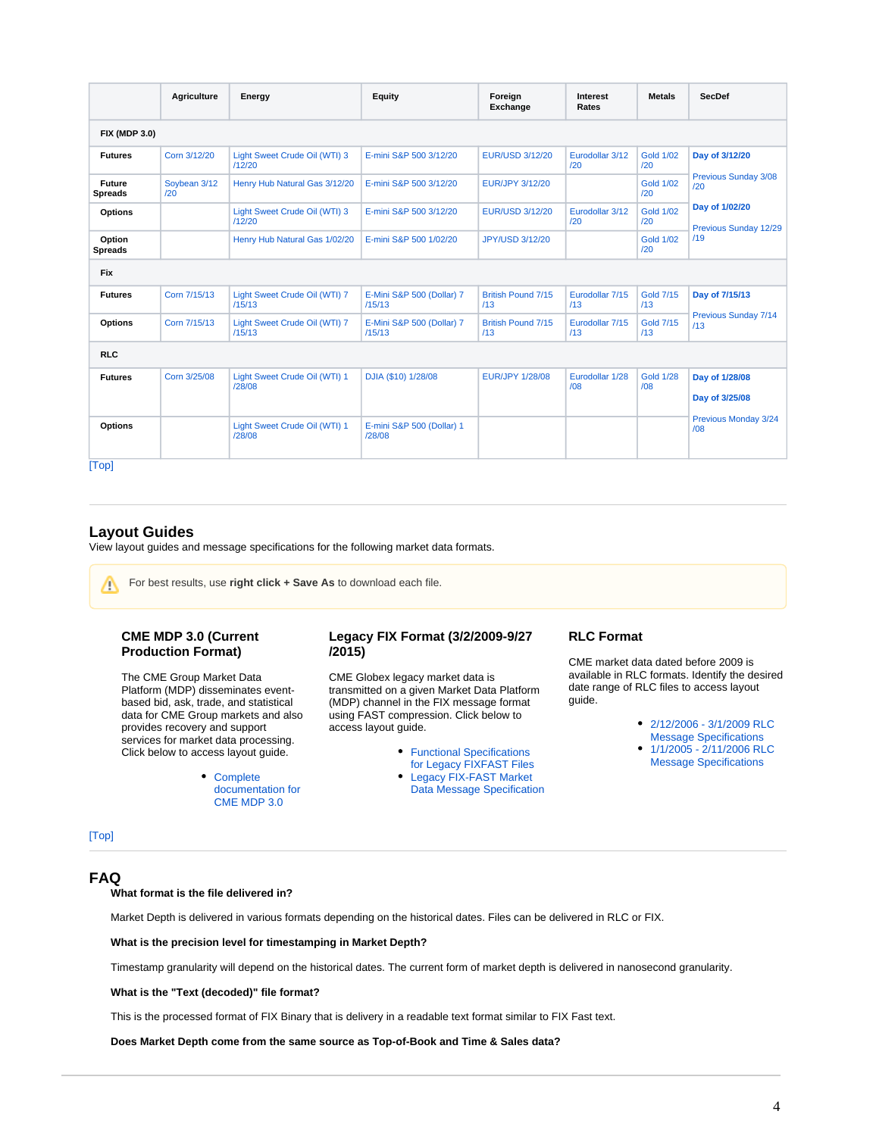|                          | Agriculture         | Energy                                  | Equity                              | Foreign<br>Exchange              | Interest<br>Rates      | <b>Metals</b>           | <b>SecDef</b>                    |  |
|--------------------------|---------------------|-----------------------------------------|-------------------------------------|----------------------------------|------------------------|-------------------------|----------------------------------|--|
| <b>FIX (MDP 3.0)</b>     |                     |                                         |                                     |                                  |                        |                         |                                  |  |
| <b>Futures</b>           | Corn 3/12/20        | Light Sweet Crude Oil (WTI) 3<br>/12/20 | E-mini S&P 500 3/12/20              | <b>EUR/USD 3/12/20</b>           | Eurodollar 3/12<br>/20 | <b>Gold 1/02</b><br>/20 | Day of 3/12/20                   |  |
| Future<br><b>Spreads</b> | Soybean 3/12<br>120 | Henry Hub Natural Gas 3/12/20           | E-mini S&P 500 3/12/20              | EUR/JPY 3/12/20                  |                        | <b>Gold 1/02</b><br>/20 | Previous Sunday 3/08<br>120      |  |
| <b>Options</b>           |                     | Light Sweet Crude Oil (WTI) 3<br>/12/20 | E-mini S&P 500 3/12/20              | <b>EUR/USD 3/12/20</b>           | Eurodollar 3/12<br>/20 | <b>Gold 1/02</b><br>/20 | Day of 1/02/20                   |  |
| Option<br><b>Spreads</b> |                     | Henry Hub Natural Gas 1/02/20           | E-mini S&P 500 1/02/20              | JPY/USD 3/12/20                  |                        | <b>Gold 1/02</b><br>/20 | Previous Sunday 12/29<br>/19     |  |
| <b>Fix</b>               |                     |                                         |                                     |                                  |                        |                         |                                  |  |
| <b>Futures</b>           | Corn 7/15/13        | Light Sweet Crude Oil (WTI) 7<br>/15/13 | E-Mini S&P 500 (Dollar) 7<br>/15/13 | <b>British Pound 7/15</b><br>/13 | Eurodollar 7/15<br>/13 | <b>Gold 7/15</b><br>/13 | Day of 7/15/13                   |  |
| <b>Options</b>           | Corn 7/15/13        | Light Sweet Crude Oil (WTI) 7<br>/15/13 | E-Mini S&P 500 (Dollar) 7<br>/15/13 | <b>British Pound 7/15</b><br>/13 | Eurodollar 7/15<br>/13 | <b>Gold 7/15</b><br>/13 | Previous Sunday 7/14<br>/13      |  |
| <b>RLC</b>               |                     |                                         |                                     |                                  |                        |                         |                                  |  |
| <b>Futures</b>           | Corn 3/25/08        | Light Sweet Crude Oil (WTI) 1<br>/28/08 | DJIA (\$10) 1/28/08                 | <b>EUR/JPY 1/28/08</b>           | Eurodollar 1/28<br>/08 | <b>Gold 1/28</b><br>/08 | Day of 1/28/08<br>Day of 3/25/08 |  |
| <b>Options</b>           |                     | Light Sweet Crude Oil (WTI) 1<br>/28/08 | E-mini S&P 500 (Dollar) 1<br>/28/08 |                                  |                        |                         | Previous Monday 3/24<br>/08      |  |
| [Top]                    |                     |                                         |                                     |                                  |                        |                         |                                  |  |

### <span id="page-3-0"></span>**Layout Guides**

View layout guides and message specifications for the following market data formats.

<span id="page-3-1"></span>For best results, use **right click + Save As** to download each file.Λ

# **CME MDP 3.0 (Current Production Format)**

The CME Group Market Data Platform (MDP) disseminates eventbased bid, ask, trade, and statistical data for CME Group markets and also provides recovery and support services for market data processing. Click below to access layout guide.

> [Complete](http://www.cmegroup.com/confluence/display/EPICSANDBOX/CME+MDP+3.0+Market+Data)  [documentation for](http://www.cmegroup.com/confluence/display/EPICSANDBOX/CME+MDP+3.0+Market+Data)  [CME MDP 3.0](http://www.cmegroup.com/confluence/display/EPICSANDBOX/CME+MDP+3.0+Market+Data)

### **Legacy FIX Format (3/2/2009-9/27 /2015)**

CME Globex legacy market data is transmitted on a given Market Data Platform (MDP) channel in the FIX message format using FAST compression. Click below to access layout guide.

- **•** Functional Specifications
	- [for Legacy FIXFAST Files](https://www.cmegroup.com/market-data/datamine-historical-data/files/datamine-md-layout-guide-fix-functional-spec.pdf)
	- [Legacy FIX-FAST Market](https://www.cmegroup.com/market-data/datamine-historical-data/files/legacy-fix-fast-market-data-message-specificationls.pdf)
	- [Data Message Specification](https://www.cmegroup.com/market-data/datamine-historical-data/files/legacy-fix-fast-market-data-message-specificationls.pdf)

#### **RLC Format**

CME market data dated before 2009 is available in RLC formats. Identify the desired date range of RLC files to access layout guide.

- [2/12/2006 3/1/2009 RLC](https://www.cmegroup.com/market-data/datamine-historical-data/files/datamine-md-layout-guide-rlc-021206030109.pdf)
- [Message Specifications](https://www.cmegroup.com/market-data/datamine-historical-data/files/datamine-md-layout-guide-rlc-021206030109.pdf)
- [1/1/2005 2/11/2006 RLC](https://www.cmegroup.com/market-data/datamine-historical-data/files/datamine-md-layout-guide-rlc-010105021106.pdf)  [Message Specifications](https://www.cmegroup.com/market-data/datamine-historical-data/files/datamine-md-layout-guide-rlc-010105021106.pdf)

[\[Top\]](#page-0-3)

# <span id="page-3-2"></span>**FAQ**

**What format is the file delivered in?**

Market Depth is delivered in various formats depending on the historical dates. Files can be delivered in RLC or FIX.

**What is the precision level for timestamping in Market Depth?**

Timestamp granularity will depend on the historical dates. The current form of market depth is delivered in nanosecond granularity.

#### **What is the "Text (decoded)" file format?**

This is the processed format of FIX Binary that is delivery in a readable text format similar to FIX Fast text.

**Does Market Depth come from the same source as Top-of-Book and Time & Sales data?**